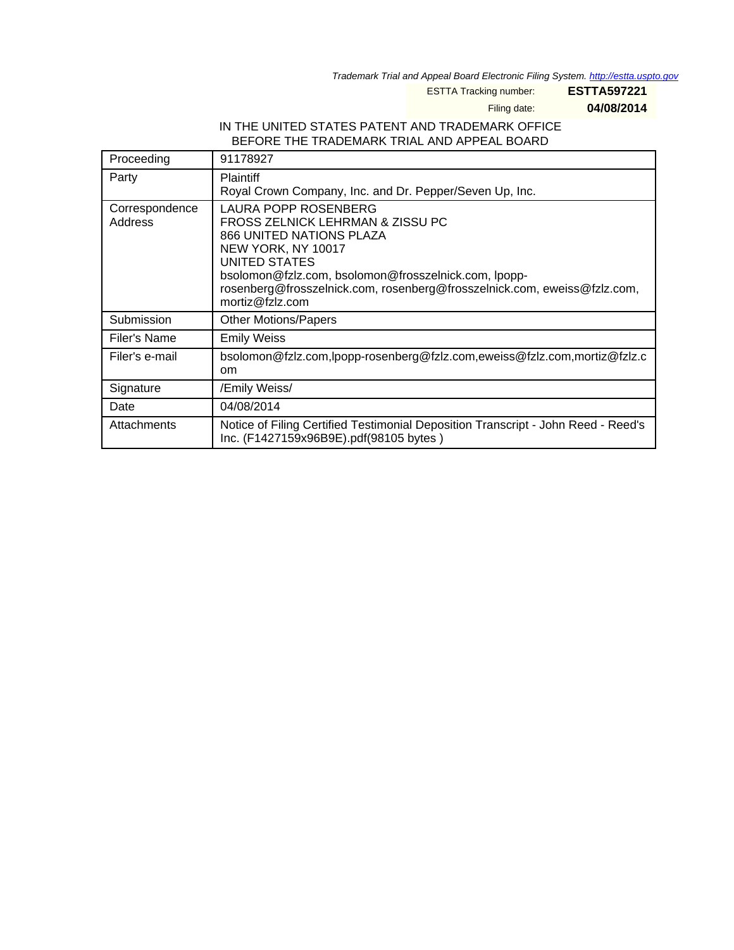Trademark Trial and Appeal Board Electronic Filing System. <http://estta.uspto.gov>

ESTTA Tracking number: **ESTTA597221**

Filing date: **04/08/2014**

#### IN THE UNITED STATES PATENT AND TRADEMARK OFFICE BEFORE THE TRADEMARK TRIAL AND APPEAL BOARD

| Proceeding                | 91178927                                                                                                                                                                                                                                                                           |
|---------------------------|------------------------------------------------------------------------------------------------------------------------------------------------------------------------------------------------------------------------------------------------------------------------------------|
| Party                     | Plaintiff<br>Royal Crown Company, Inc. and Dr. Pepper/Seven Up, Inc.                                                                                                                                                                                                               |
| Correspondence<br>Address | LAURA POPP ROSENBERG<br>FROSS ZELNICK LEHRMAN & ZISSU PC<br>866 UNITED NATIONS PLAZA<br>NEW YORK, NY 10017<br>UNITED STATES<br>bsolomon@fzlz.com, bsolomon@frosszelnick.com, lpopp-<br>rosenberg@frosszelnick.com, rosenberg@frosszelnick.com, eweiss@fzlz.com,<br>mortiz@fzlz.com |
| Submission                | <b>Other Motions/Papers</b>                                                                                                                                                                                                                                                        |
| Filer's Name              | <b>Emily Weiss</b>                                                                                                                                                                                                                                                                 |
| Filer's e-mail            | bsolomon@fzlz.com,lpopp-rosenberg@fzlz.com,eweiss@fzlz.com,mortiz@fzlz.c<br><sub>om</sub>                                                                                                                                                                                          |
| Signature                 | /Emily Weiss/                                                                                                                                                                                                                                                                      |
| Date                      | 04/08/2014                                                                                                                                                                                                                                                                         |
| Attachments               | Notice of Filing Certified Testimonial Deposition Transcript - John Reed - Reed's<br>Inc. (F1427159x96B9E).pdf(98105 bytes)                                                                                                                                                        |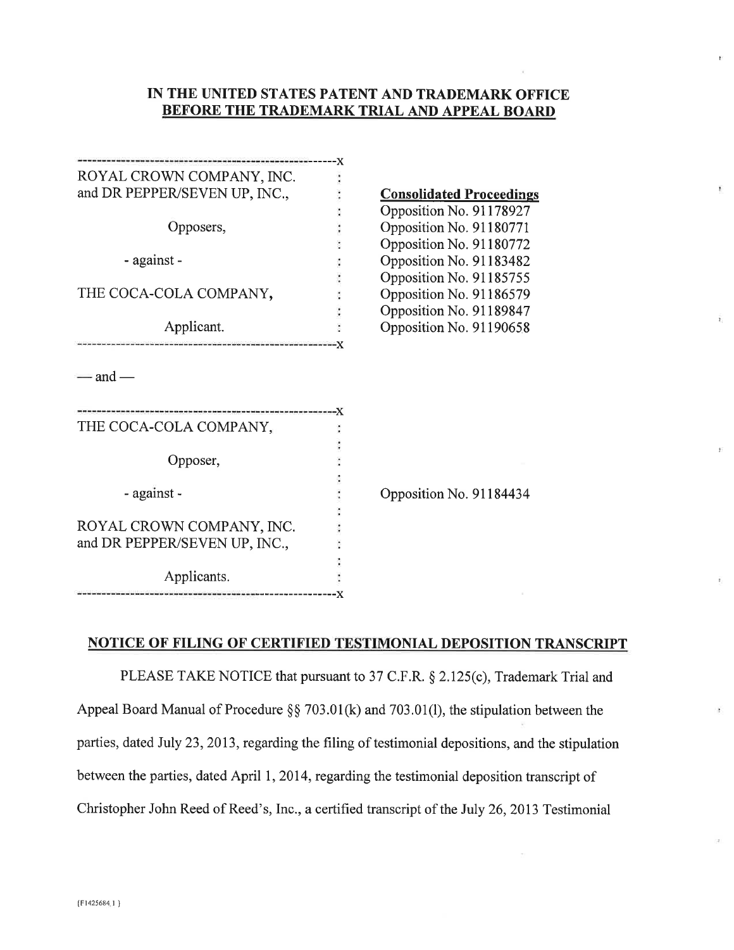#### IN THE UNITED STATES PATENT AND TRADEMARK OFFICE **BEFORE THE TRADEMARK TRIAL AND APPEAL BOARD**

 $\overline{r}$ 

| ROYAL CROWN COMPANY, INC.                                  |                                 |
|------------------------------------------------------------|---------------------------------|
| and DR PEPPER/SEVEN UP, INC.,                              | <b>Consolidated Proceedings</b> |
|                                                            | Opposition No. 91178927         |
| Opposers,                                                  | Opposition No. 91180771         |
|                                                            | Opposition No. 91180772         |
| - against -                                                | Opposition No. 91183482         |
|                                                            | Opposition No. 91185755         |
| THE COCA-COLA COMPANY,                                     | Opposition No. 91186579         |
|                                                            | Opposition No. 91189847         |
| Applicant.                                                 | Opposition No. 91190658         |
| — and —                                                    |                                 |
| THE COCA-COLA COMPANY,                                     |                                 |
| Opposer,                                                   |                                 |
| - against -                                                | Opposition No. 91184434         |
| ROYAL CROWN COMPANY, INC.<br>and DR PEPPER/SEVEN UP, INC., |                                 |
| Applicants.                                                |                                 |
|                                                            |                                 |

### **NOTICE OF FILING OF CERTIFIED TESTIMONIAL DEPOSITION TRANSCRIPT**

PLEASE TAKE NOTICE that pursuant to 37 C.F.R. § 2.125(c), Trademark Trial and Appeal Board Manual of Procedure §§ 703.01(k) and 703.01(l), the stipulation between the parties, dated July 23, 2013, regarding the filing of testimonial depositions, and the stipulation between the parties, dated April 1, 2014, regarding the testimonial deposition transcript of Christopher John Reed of Reed's, Inc., a certified transcript of the July 26, 2013 Testimonial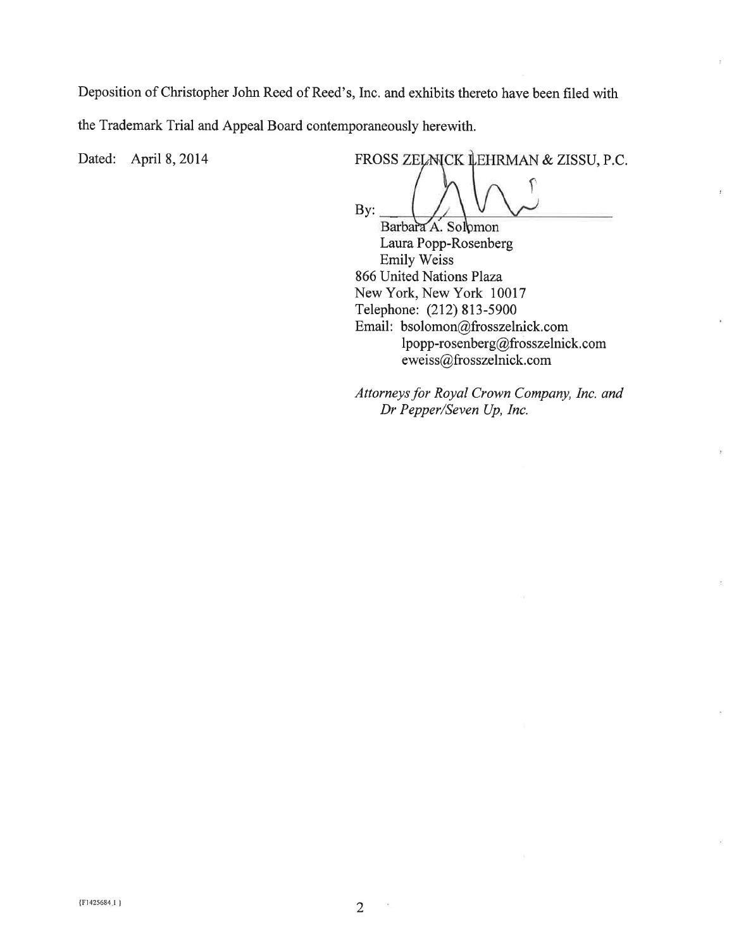Deposition of Christopher John Reed of Reed's, Inc. and exhibits thereto have been filed with the Trademark Trial and Appeal Board contemporaneously herewith.

Dated: April 8, 2014

FROSS ZELMICK LEHRMAN & ZISSU, P.C. By:

¥.

Barbara A. Solomon Laura Popp-Rosenberg Emily Weiss 866 United Nations Plaza New York, New York 10017 Telephone: (212) 813-5900 Email: bsolomon@frosszelnick.com lpopp-rosenberg@frosszelnick.com eweiss@frosszelnick.com

Attorneys for Royal Crown Company, Inc. and Dr Pepper/Seven Up, Inc.

 $\overline{2}$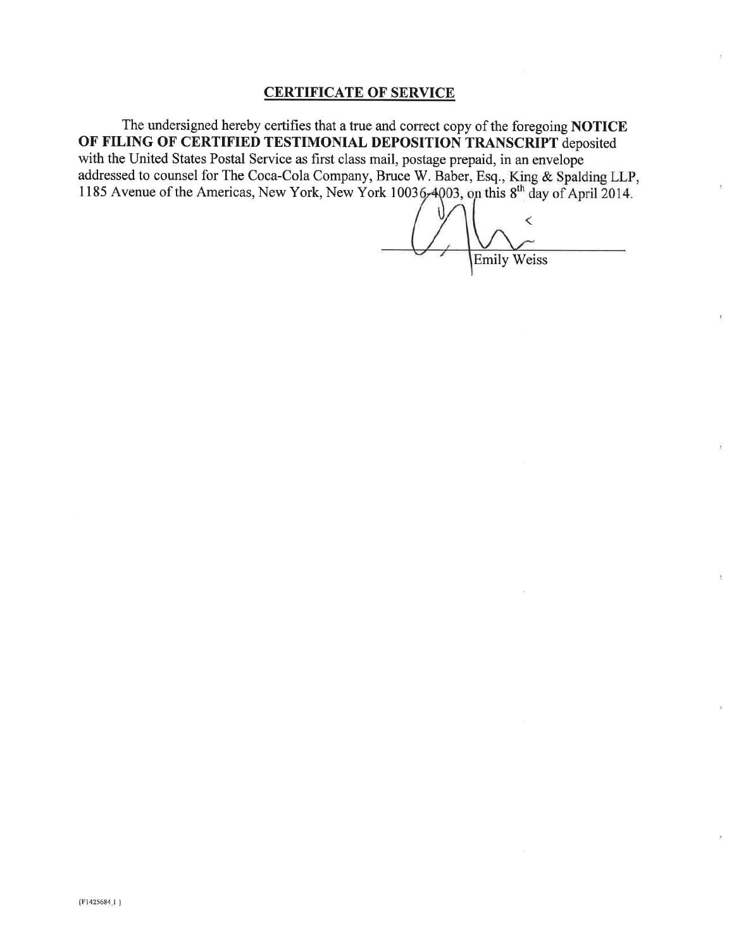#### **CERTIFICATE OF SERVICE**

The undersigned hereby certifies that a true and correct copy of the foregoing NOTICE OF FILING OF CERTIFIED TESTIMONIAL DEPOSITION TRANSCRIPT deposited with the United States Postal Service as first class mail, postage prepaid, in an envelope addressed to counsel for The Coca-Cola Company, Bruce W. Baber, Esq., King & Spalding LLP, 1185 Avenue of the Americas, New York, New York  $10036\div 4003$ , on this  $8<sup>th</sup>$  day of April 2014.

**Emily Weiss** 

Ŧ,